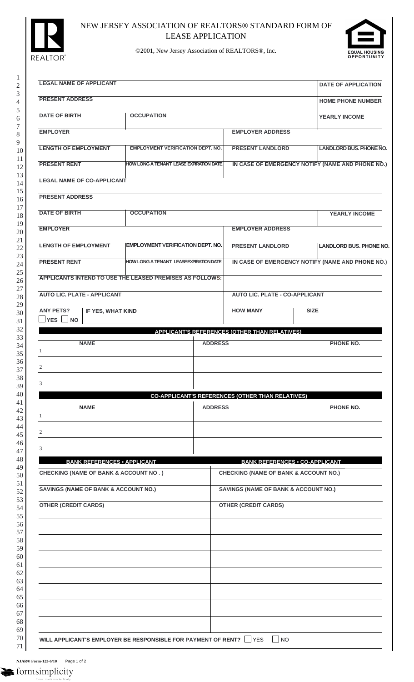

## NEW JERSEY ASSOCIATION OF REALTORS® STANDARD FORM OF LEASE APPLICATION



©2001, New Jersey Association of REALTORS®, Inc.

| <b>LEGAL NAME OF APPLICANT</b>                                                                      |                                                |                |                                                         | <b>DATE OF APPLICATION</b>                       |
|-----------------------------------------------------------------------------------------------------|------------------------------------------------|----------------|---------------------------------------------------------|--------------------------------------------------|
| <b>PRESENT ADDRESS</b>                                                                              |                                                |                |                                                         | <b>HOME PHONE NUMBER</b>                         |
| <b>DATE OF BIRTH</b>                                                                                | <b>OCCUPATION</b>                              |                |                                                         | <b>YEARLY INCOME</b>                             |
| <b>EMPLOYER</b>                                                                                     |                                                |                | <b>EMPLOYER ADDRESS</b>                                 |                                                  |
| <b>LENGTH OF EMPLOYMENT</b>                                                                         | <b>EMPLOYMENT VERIFICATION DEPT. NO.</b>       |                | <b>PRESENT LANDLORD</b>                                 | <b>LANDLORD BUS, PHONE NO.</b>                   |
| <b>PRESENT RENT</b>                                                                                 | <b>HOW LONG A TENANT LEASE EXPIRATION DATE</b> |                |                                                         | IN CASE OF EMERGENCY NOTIFY (NAME AND PHONE NO.) |
| <b>LEGAL NAME OF CO-APPLICANT</b>                                                                   |                                                |                |                                                         |                                                  |
| <b>PRESENT ADDRESS</b>                                                                              |                                                |                |                                                         |                                                  |
| <b>DATE OF BIRTH</b>                                                                                | <b>OCCUPATION</b>                              |                |                                                         | <b>YEARLY INCOME</b>                             |
| <b>EMPLOYER</b>                                                                                     |                                                |                | <b>EMPLOYER ADDRESS</b>                                 |                                                  |
| <b>LENGTH OF EMPLOYMENT</b>                                                                         | <b>EMPLOYMENT VERIFICATION DEPT. NO.</b>       |                | <b>PRESENT LANDLORD</b>                                 | <b>LANDLORD BUS. PHONE NO.</b>                   |
| <b>PRESENT RENT</b>                                                                                 | <b>HOW LONG A TENANT LEASE EXPIRATION DATE</b> |                |                                                         | IN CASE OF EMERGENCY NOTIFY (NAME AND PHONE NO.) |
| APPLICANTS INTEND TO USE THE LEASED PREMISES AS FOLLOWS:                                            |                                                |                |                                                         |                                                  |
| <b>AUTO LIC. PLATE - APPLICANT</b>                                                                  |                                                |                | <b>AUTO LIC. PLATE - CO-APPLICANT</b>                   |                                                  |
| <b>ANY PETS?</b><br>IF YES, WHAT KIND                                                               |                                                |                | <b>HOW MANY</b>                                         | <b>SIZE</b>                                      |
| $\Box$ YES $\Box$ NO                                                                                |                                                |                | <b>APPLICANT'S REFERENCES (OTHER THAN RELATIVES)</b>    |                                                  |
| <b>NAME</b>                                                                                         |                                                | <b>ADDRESS</b> |                                                         | <b>PHONE NO.</b>                                 |
| -1                                                                                                  |                                                |                |                                                         |                                                  |
| 2                                                                                                   |                                                |                |                                                         |                                                  |
| 3                                                                                                   |                                                |                |                                                         |                                                  |
|                                                                                                     |                                                |                |                                                         |                                                  |
| <b>NAME</b>                                                                                         |                                                | <b>ADDRESS</b> | <b>CO-APPLICANT'S REFERENCES (OTHER THAN RELATIVES)</b> | PHONE NO.                                        |
|                                                                                                     |                                                |                |                                                         |                                                  |
|                                                                                                     |                                                |                |                                                         |                                                  |
|                                                                                                     |                                                |                |                                                         |                                                  |
| <b>BANK REFERENCES • APPLICANT</b>                                                                  |                                                |                | <b>BANK REFERENCES . CO-APPLICANT</b>                   |                                                  |
| 3                                                                                                   |                                                |                | <b>CHECKING (NAME OF BANK &amp; ACCOUNT NO.)</b>        |                                                  |
| -1<br>2<br><b>CHECKING (NAME OF BANK &amp; ACCOUNT NO.)</b><br>SAVINGS (NAME OF BANK & ACCOUNT NO.) |                                                |                | SAVINGS (NAME OF BANK & ACCOUNT NO.)                    |                                                  |
| <b>OTHER (CREDIT CARDS)</b>                                                                         |                                                |                | <b>OTHER (CREDIT CARDS)</b>                             |                                                  |
|                                                                                                     |                                                |                |                                                         |                                                  |
|                                                                                                     |                                                |                |                                                         |                                                  |
|                                                                                                     |                                                |                |                                                         |                                                  |
|                                                                                                     |                                                |                |                                                         |                                                  |
|                                                                                                     |                                                |                |                                                         |                                                  |
|                                                                                                     |                                                |                |                                                         |                                                  |
|                                                                                                     |                                                |                |                                                         |                                                  |

**NJAR® Form-123-6/10** Page 1 of 2